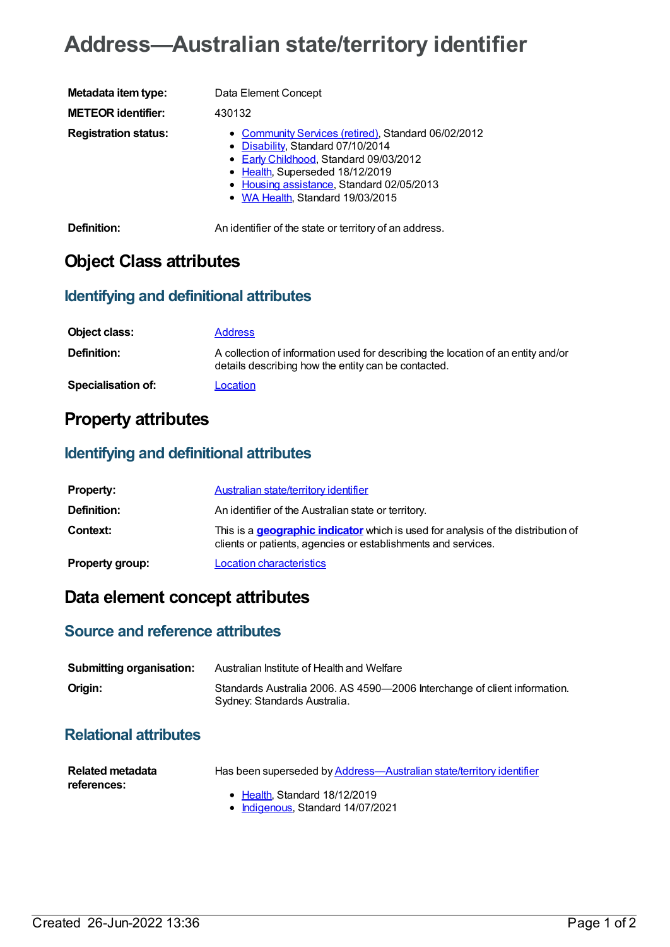# **Address—Australian state/territory identifier**

| Metadata item type:         | Data Element Concept                                                                                                                                                                                                                                   |
|-----------------------------|--------------------------------------------------------------------------------------------------------------------------------------------------------------------------------------------------------------------------------------------------------|
| <b>METEOR identifier:</b>   | 430132                                                                                                                                                                                                                                                 |
| <b>Registration status:</b> | • Community Services (retired), Standard 06/02/2012<br>• Disability, Standard 07/10/2014<br>• Early Childhood, Standard 09/03/2012<br>• Health, Superseded 18/12/2019<br>• Housing assistance, Standard 02/05/2013<br>• WA Health, Standard 19/03/2015 |
| <b>D.C.U.</b>               | A a bhoirt Conocht ann an t-t-ann an t-mate ann an Conocht ann an t-                                                                                                                                                                                   |

**Definition:** An identifier of the state or territory of an address.

## **Object Class attributes**

#### **Identifying and definitional attributes**

| Object class:      | <b>Address</b>                                                                                                                          |
|--------------------|-----------------------------------------------------------------------------------------------------------------------------------------|
| <b>Definition:</b> | A collection of information used for describing the location of an entity and/or<br>details describing how the entity can be contacted. |
| Specialisation of: | Location                                                                                                                                |

### **Property attributes**

### **Identifying and definitional attributes**

| <b>Property:</b>       | Australian state/territory identifier                                                                                                                    |
|------------------------|----------------------------------------------------------------------------------------------------------------------------------------------------------|
| Definition:            | An identifier of the Australian state or territory.                                                                                                      |
| <b>Context:</b>        | This is a <b>geographic indicator</b> which is used for analysis of the distribution of<br>clients or patients, agencies or establishments and services. |
| <b>Property group:</b> | <b>Location characteristics</b>                                                                                                                          |

### **Data element concept attributes**

#### **Source and reference attributes**

| <b>Submitting organisation:</b> | Australian Institute of Health and Welfare                                                                |
|---------------------------------|-----------------------------------------------------------------------------------------------------------|
| Origin:                         | Standards Australia 2006. AS 4590-2006 Interchange of client information.<br>Sydney: Standards Australia. |

### **Relational attributes**

| Related metadata<br>references: | Has been superseded by Address—Australian state/territory identifier  |
|---------------------------------|-----------------------------------------------------------------------|
|                                 | • Health Standard 18/12/2019<br>$\sim$ Indiagnous Standard 14/07/2021 |